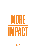

VOL. 2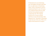To help kick-start your fundraising year and brighten the bleak midwinter, here are eight stories of fundraising impact. They're all poised to reach an inspirational finale in 2016. Of course, our wonderful clients take the credit, but More Partnership has played a supporting role. We're sharing the good news, because nothing motivates us more than hearing "what happened next". Remember, fundraising is only the start of the story. What we're really in this business for is *impact.*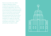Some see an art-deco icon. Others a ziggurat, Manhattan skyline… or prime piece of Stalinist real estate in the heart of Bloomsbury. But we see our old friend SOAS coming home, at last, to the University of London Senate House. When the North Block extension finally opens in 2016, the great glass atrium, the buzzing student hub, the three floors of teaching space will unite this unique institution on a single site. More than a campus, it's a monument to the power of learning to unite nations – which philanthropy has helped to build.

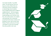*Una Scelta Possibile.* "A possible choice". For the last four years our long-term client, Milan's Bocconi University, has been reaching out to talented high school students from troubled backgrounds in difficult neighbourhoods – and encouraging them to apply. If they get in, a donorfunded package covers all their costs: fees, rent, meals, books, even a laptop and mentoring. We're immensely proud that the first three students will graduate in 2016, with 22 more close behind. Thank you Bocconi. It's been a privilege to see the story through… from the *possibile* to the *reale.*

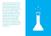London, 2010. Two years after the crash. Two years before the Olympics. Cancer Research UK announces a plan to open Europe's largest bio-medical research centre with a host of high-profile partners. But can they raise the £100 million they need? Can a charity really bring in major gifts? Enter More Partnership for a feasibility study. Within a year, a £10 million gift arrives. Then £5 million. And again. Twice. Then £15 million (from a bank). Fast forward to 2016 and the Francis Crick Institute is about to open. Everyone's talking about CRUK's "big science". Let's celebrate their "big fundraising" too.

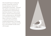When Rosehill Theatre's funding fell through, it looked like curtains for the rural playhouse. But the team – including More Partnership – regrouped. They split the redevelopment into two manageable phases and found donors they'd never dreamt of. "You're our first theatre!" said the Coastal Communities Fund, awarding £450,000. But Rosehill is as much about community as culture. Phase 2 will involve a Cumbrian co-operative and social investors alongside philanthropists. First though, there's some Phase 1 rejoicing to be done. For, in 2016, Rosehill's red silk curtain will rise again.

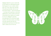Highgate School is a joy to work with. It sees itself as an educational charity that happens to run a school, rather than vice versa. Hence the amazing Chrysalis partnership with over 30 local state schools – and several donors – covering work experience, university applications, science tuition and more. A particular focus right now is maths. In 2015-16, Highgate is sharing the equivalent of two full-time maths teachers with state schools, providing not only expertise but also new professional experiences for their own staff: a classic case of win-win.

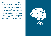When we advised UCL to find a lead gift of at least £25 million for its new Dementia Research Institute, we never dreamt it would come from plastic carrier bags! But in 2016 that's exactly what's projected to happen. Iceland, Asda, Morrisons, Waitrose, HSS Hire, Booths, WHSmith and Poundland have all pledged to give their proceeds from the new 5p levy to support the construction of the state-of-the-art centre – and help solve one of the most tragic socio-medical problems of our times.

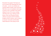Remember the poppies? The blood-red sea of ceramics that submerged the Tower of London – one for every British and Colonial military fatality of the Great War. Well, this is one art installation that keeps on giving. And 14-18 NOW is the charity taking it on tour. We've been working with them since 2013. Thanks to their donors, *Wave* and *Weeping Window*  will leave Liverpool and the Yorkshire Sculpture Park in January, only to reflower in Lincoln, Caernarfon and the Black Watch Museum in the spring of 2016.

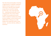The Africa Research Excellence Fund has a single purpose: to build the continent's medical research capacity so as to save African lives. But that means talented young African researchers staying in Africa and – here comes the hard bit – competing internationally for big research grants. Now at last, thanks to AREF's new postdoctoral awards (which we helped to fundraise for), things are set to change. In 2016, the first seven AREF Fellows will step on to a fully funded, nine-month fast track to career success… and, down the line, millions of saved lives.

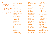Last but not least, we would like to thank all the clients we've worked with in 2015 for the opportunity they have given us to make an impact over the last year.

14-18 NOW Aberdeen Art Gallery & Museums Africa Research Excellence Fund Alzheimer's Research UK AMREF ArtsEd Assist for Peace Aston University The Aurora Project Australian National University The Beacon School Beanstalk Birkbeck, University of London Birmingham Repertory Theatre Brain Research Trust Brighton Dome & Festival Limited The British Academy The British School of Brussels The British School of Paris Cambridge University Boat Club Cancer Research UK CASE Causey Development Trust Cheadle Hulme School Chester Performs Chichester Festival Theatre Chisenhale Dance Space Climate Central CNRS Jerusalem Costa Foundation Council for At-Risk Academics The Courtauld Institute of Art D&AD DEBRA Denville Hall Distretto Veneziano della Ricerca e dell'Innovazione (DVRI) Durham Cathedral Durham Music Service East, Central and Southern Africa College of Physicians Edinburgh Napier University Emmanuel College, Cambridge

English National Ballet European Association of Urology Felsted School Festival City Theatres Trust Fondation ARC France Horizon Francis Holland School SW1 Fruitmarket Gallery Glasgow Life The Gresham's Holt Foundation Guildhall School of Music & Drama The Hall School Highgate School Imperial College Business School Imperial College London Institute of Fiscal Studies Institute of Fundraising INTO University Latymer Upper School Liverpool Everyman The London Clinic London Film School LUISS Guido Carli Macquarie University Magdalen College School Making the Leap Malaria No More UK Marie Curie McDaniel College Merton College, Oxford Middle Temple Middlesex University Moorfields Eye Charity Museum of London Music Theatre Wales Newcastle University NHS Scotland Nizkor Network Northumberland National Park Authority NSPCC Nuffield College, Oxford Oundle School

The Palestinian Museum Pembroke College, Cambridge Punchdrunk Queen's University Belfast Relate River and Rowing Museum RMIT University Roedean School Rosehill Theatre Royal Botanic Gardens, Kew Royal College of General Practitioners Royal College of Music Royal College of Surgeons in Ireland Royal Holloway, University of London Royal National Orthopaedic Hospital Charity Royal Northern College of Music Royal Shakespeare Company Royal Society of Literature St Anne's College, Oxford St Catharine's College, Cambridge St John's College, Oxford St John's School, Leatherhead Scaling Up Nutrition Science Museum SciencesPo Sevenoaks School Sheffield Hallam University Sidney Sussex College, Cambridge Singapore Management University Skiing with Heroes SOAS, University of London The Stephen Perse Foundation Stuart Hall Foundation Toulouse School of Economics Trent College Trinity College Dublin Tudor Hall School Università Cattolica del Sacro Cuore Università Commerciale "Luigi Bocconi" University College London University of Bradford